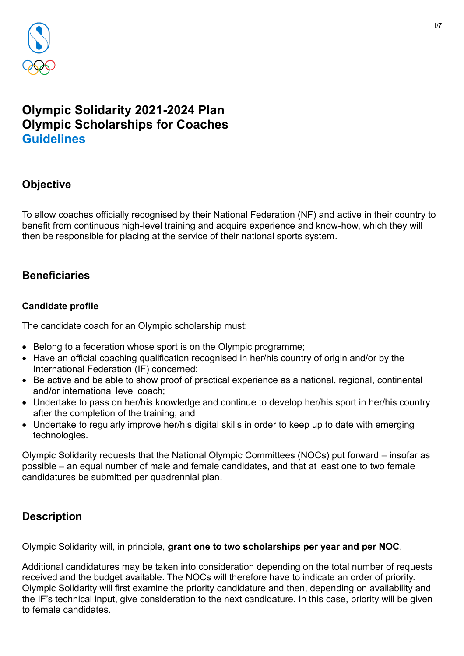

# **Olympic Solidarity 2021-2024 Plan Olympic Scholarships for Coaches Guidelines**

# **Objective**

To allow coaches officially recognised by their National Federation (NF) and active in their country to benefit from continuous high-level training and acquire experience and know-how, which they will then be responsible for placing at the service of their national sports system.

# **Beneficiaries**

### **Candidate profile**

The candidate coach for an Olympic scholarship must:

- Belong to a federation whose sport is on the Olympic programme;
- Have an official coaching qualification recognised in her/his country of origin and/or by the International Federation (IF) concerned;
- Be active and be able to show proof of practical experience as a national, regional, continental and/or international level coach;
- Undertake to pass on her/his knowledge and continue to develop her/his sport in her/his country after the completion of the training; and
- Undertake to regularly improve her/his digital skills in order to keep up to date with emerging technologies.

Olympic Solidarity requests that the National Olympic Committees (NOCs) put forward – insofar as possible – an equal number of male and female candidates, and that at least one to two female candidatures be submitted per quadrennial plan.

# **Description**

Olympic Solidarity will, in principle, **grant one to two scholarships per year and per NOC**.

Additional candidatures may be taken into consideration depending on the total number of requests received and the budget available. The NOCs will therefore have to indicate an order of priority. Olympic Solidarity will first examine the priority candidature and then, depending on availability and the IF's technical input, give consideration to the next candidature. In this case, priority will be given to female candidates.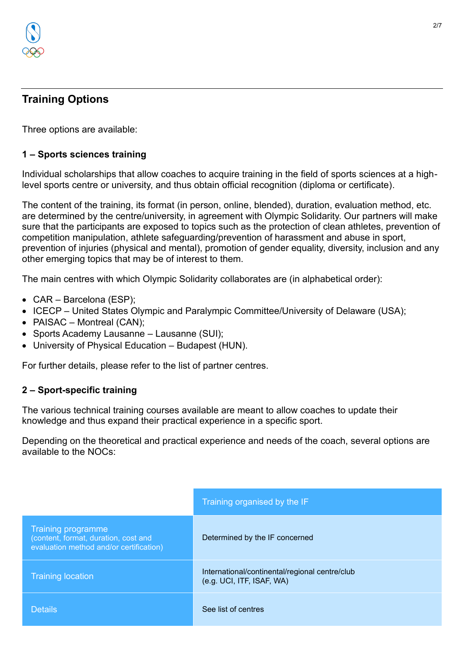

# **Training Options**

Three options are available:

### **1 – Sports sciences training**

Individual scholarships that allow coaches to acquire training in the field of sports sciences at a highlevel sports centre or university, and thus obtain official recognition (diploma or certificate).

The content of the training, its format (in person, online, blended), duration, evaluation method, etc. are determined by the centre/university, in agreement with Olympic Solidarity. Our partners will make sure that the participants are exposed to topics such as the protection of clean athletes, prevention of competition manipulation, athlete safeguarding/prevention of harassment and abuse in sport, prevention of injuries (physical and mental), promotion of gender equality, diversity, inclusion and any other emerging topics that may be of interest to them.

The main centres with which Olympic Solidarity collaborates are (in alphabetical order):

- CAR Barcelona (ESP);
- ICECP United States Olympic and Paralympic Committee/University of Delaware (USA);
- PAISAC Montreal (CAN);
- Sports Academy Lausanne Lausanne (SUI);
- University of Physical Education Budapest (HUN).

For further details, please refer to the list of partner centres.

#### **2 – Sport-specific training**

The various technical training courses available are meant to allow coaches to update their knowledge and thus expand their practical experience in a specific sport.

Depending on the theoretical and practical experience and needs of the coach, several options are available to the NOCs:

|                                                                                                              | Training organised by the IF                                                |
|--------------------------------------------------------------------------------------------------------------|-----------------------------------------------------------------------------|
| <b>Training programme</b><br>(content, format, duration, cost and<br>evaluation method and/or certification) | Determined by the IF concerned                                              |
| <b>Training location</b>                                                                                     | International/continental/regional centre/club<br>(e.g. UCI, ITF, ISAF, WA) |
| <b>Details</b>                                                                                               | See list of centres                                                         |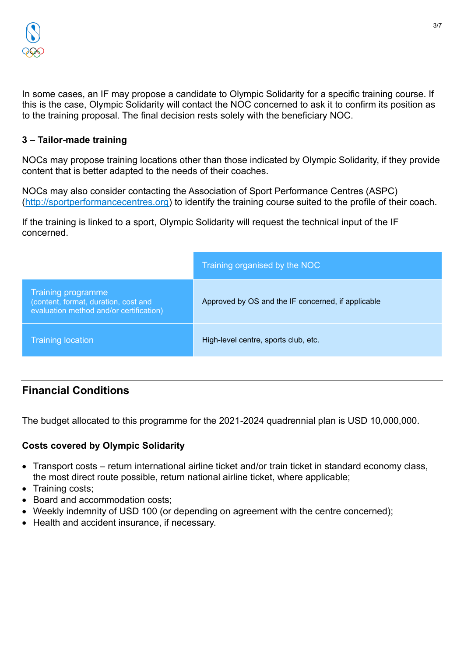

In some cases, an IF may propose a candidate to Olympic Solidarity for a specific training course. If this is the case, Olympic Solidarity will contact the NOC concerned to ask it to confirm its position as to the training proposal. The final decision rests solely with the beneficiary NOC.

#### **3 – Tailor-made training**

NOCs may propose training locations other than those indicated by Olympic Solidarity, if they provide content that is better adapted to the needs of their coaches.

NOCs may also consider contacting the Association of Sport Performance Centres (ASPC) [\(http://sportperformancecentres.org\)](http://sportperformancecentres.org/) to identify the training course suited to the profile of their coach.

If the training is linked to a sport, Olympic Solidarity will request the technical input of the IF concerned.

|                                                                                                       | Training organised by the NOC                      |
|-------------------------------------------------------------------------------------------------------|----------------------------------------------------|
| Training programme<br>(content, format, duration, cost and<br>evaluation method and/or certification) | Approved by OS and the IF concerned, if applicable |
| <b>Training location</b>                                                                              | High-level centre, sports club, etc.               |

# **Financial Conditions**

The budget allocated to this programme for the 2021-2024 quadrennial plan is USD 10,000,000.

### **Costs covered by Olympic Solidarity**

- Transport costs return international airline ticket and/or train ticket in standard economy class, the most direct route possible, return national airline ticket, where applicable;
- Training costs;
- Board and accommodation costs;
- Weekly indemnity of USD 100 (or depending on agreement with the centre concerned);
- Health and accident insurance, if necessary.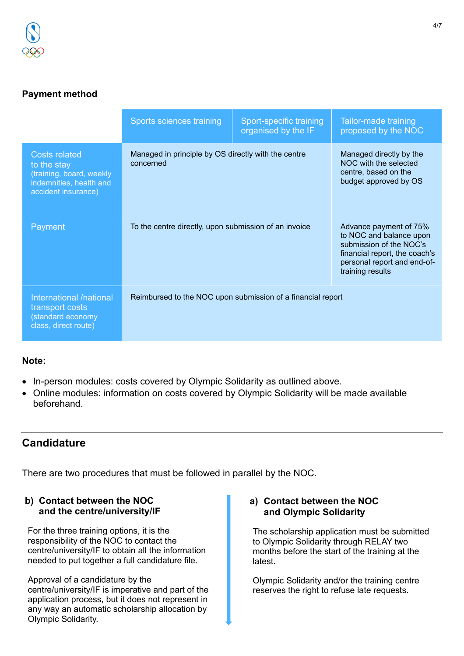# **Payment method**

|                                                                                                                   | Sports sciences training                                         | Sport-specific training<br>organised by the IF | Tailor-made training<br>proposed by the NOC                                                                                                                      |  |
|-------------------------------------------------------------------------------------------------------------------|------------------------------------------------------------------|------------------------------------------------|------------------------------------------------------------------------------------------------------------------------------------------------------------------|--|
| <b>Costs related</b><br>to the stay<br>(training, board, weekly<br>indemnities, health and<br>accident insurance) | Managed in principle by OS directly with the centre<br>concerned |                                                | Managed directly by the<br>NOC with the selected<br>centre, based on the<br>budget approved by OS                                                                |  |
| Payment                                                                                                           | To the centre directly, upon submission of an invoice            |                                                | Advance payment of 75%<br>to NOC and balance upon<br>submission of the NOC's<br>financial report, the coach's<br>personal report and end-of-<br>training results |  |
| International /national<br>transport costs<br>(standard economy<br>class, direct route)                           | Reimbursed to the NOC upon submission of a financial report      |                                                |                                                                                                                                                                  |  |

### **Note:**

- In-person modules: costs covered by Olympic Solidarity as outlined above.
- Online modules: information on costs covered by Olympic Solidarity will be made available beforehand.

# **Candidature**

There are two procedures that must be followed in parallel by the NOC.

#### **b) Contact between the NOC and the centre/university/IF**

For the three training options, it is the responsibility of the NOC to contact the centre/university/IF to obtain all the information needed to put together a full candidature file.

Approval of a candidature by the centre/university/IF is imperative and part of the application process, but it does not represent in any way an automatic scholarship allocation by Olympic Solidarity.

#### **a) Contact between the NOC and Olympic Solidarity**

The scholarship application must be submitted to Olympic Solidarity through RELAY two months before the start of the training at the latest.

Olympic Solidarity and/or the training centre reserves the right to refuse late requests.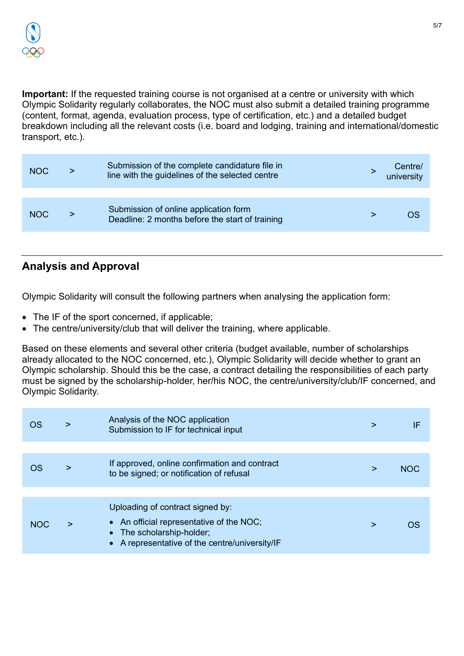**Important:** If the requested training course is not organised at a centre or university with which Olympic Solidarity regularly collaborates, the NOC must also submit a detailed training programme (content, format, agenda, evaluation process, type of certification, etc.) and a detailed budget breakdown including all the relevant costs (i.e. board and lodging, training and international/domestic transport, etc.).

| <b>NOC</b> | Submission of the complete candidature file in<br>line with the guidelines of the selected centre | /Centre<br>university |
|------------|---------------------------------------------------------------------------------------------------|-----------------------|
| <b>NOC</b> | Submission of online application form<br>Deadline: 2 months before the start of training          |                       |

# **Analysis and Approval**

Olympic Solidarity will consult the following partners when analysing the application form:

- The IF of the sport concerned, if applicable;
- The centre/university/club that will deliver the training, where applicable.

Based on these elements and several other criteria (budget available, number of scholarships already allocated to the NOC concerned, etc.), Olympic Solidarity will decide whether to grant an Olympic scholarship. Should this be the case, a contract detailing the responsibilities of each party must be signed by the scholarship-holder, her/his NOC, the centre/university/club/IF concerned, and Olympic Solidarity.

| OS         | > | Analysis of the NOC application<br>Submission to IF for technical input                                                                                     | > | IF         |
|------------|---|-------------------------------------------------------------------------------------------------------------------------------------------------------------|---|------------|
|            |   |                                                                                                                                                             |   |            |
| OS         | > | If approved, online confirmation and contract<br>to be signed; or notification of refusal                                                                   | > | <b>NOC</b> |
|            |   |                                                                                                                                                             |   |            |
| <b>NOC</b> |   | Uploading of contract signed by:<br>• An official representative of the NOC;<br>• The scholarship-holder;<br>• A representative of the centre/university/IF | > |            |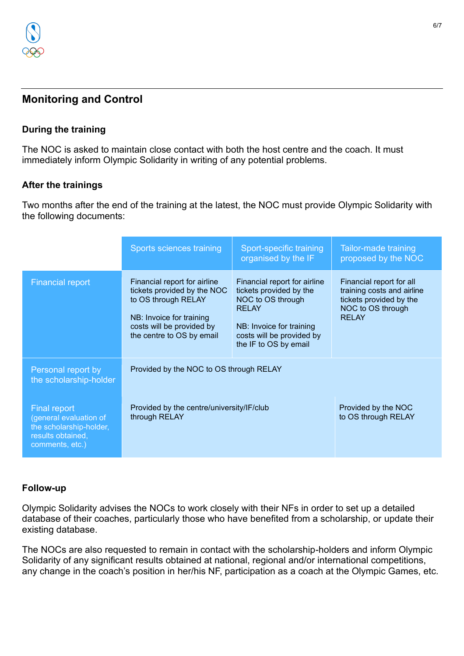

# **Monitoring and Control**

#### **During the training**

The NOC is asked to maintain close contact with both the host centre and the coach. It must immediately inform Olympic Solidarity in writing of any potential problems.

#### **After the trainings**

Two months after the end of the training at the latest, the NOC must provide Olympic Solidarity with the following documents:

|                                                                                                                  | Sports sciences training                                                                                                                                                 | Sport-specific training<br>organised by the IF                                                                                                                                 | <b>Tailor-made training</b><br>proposed by the NOC                                                                     |
|------------------------------------------------------------------------------------------------------------------|--------------------------------------------------------------------------------------------------------------------------------------------------------------------------|--------------------------------------------------------------------------------------------------------------------------------------------------------------------------------|------------------------------------------------------------------------------------------------------------------------|
| <b>Financial report</b>                                                                                          | Financial report for airline<br>tickets provided by the NOC<br>to OS through RELAY<br>NB: Invoice for training<br>costs will be provided by<br>the centre to OS by email | Financial report for airline<br>tickets provided by the<br>NOC to OS through<br><b>RELAY</b><br>NB: Invoice for training<br>costs will be provided by<br>the IF to OS by email | Financial report for all<br>training costs and airline<br>tickets provided by the<br>NOC to OS through<br><b>RELAY</b> |
| Personal report by<br>the scholarship-holder                                                                     | Provided by the NOC to OS through RELAY                                                                                                                                  |                                                                                                                                                                                |                                                                                                                        |
| <b>Final report</b><br>(general evaluation of<br>the scholarship-holder,<br>results obtained,<br>comments, etc.) | Provided by the centre/university/IF/club<br>through RELAY                                                                                                               |                                                                                                                                                                                | Provided by the NOC<br>to OS through RELAY                                                                             |

#### **Follow-up**

Olympic Solidarity advises the NOCs to work closely with their NFs in order to set up a detailed database of their coaches, particularly those who have benefited from a scholarship, or update their existing database.

The NOCs are also requested to remain in contact with the scholarship-holders and inform Olympic Solidarity of any significant results obtained at national, regional and/or international competitions, any change in the coach's position in her/his NF, participation as a coach at the Olympic Games, etc.